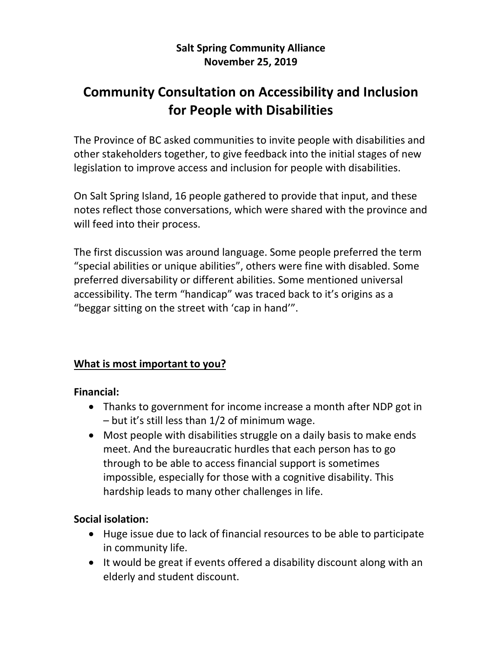### **Salt Spring Community Alliance November 25, 2019**

# **Community Consultation on Accessibility and Inclusion for People with Disabilities**

The Province of BC asked communities to invite people with disabilities and other stakeholders together, to give feedback into the initial stages of new legislation to improve access and inclusion for people with disabilities.

On Salt Spring Island, 16 people gathered to provide that input, and these notes reflect those conversations, which were shared with the province and will feed into their process.

The first discussion was around language. Some people preferred the term "special abilities or unique abilities", others were fine with disabled. Some preferred diversability or different abilities. Some mentioned universal accessibility. The term "handicap" was traced back to it's origins as a "beggar sitting on the street with 'cap in hand'".

### **What is most important to you?**

#### **Financial:**

- Thanks to government for income increase a month after NDP got in – but it's still less than 1/2 of minimum wage.
- Most people with disabilities struggle on a daily basis to make ends meet. And the bureaucratic hurdles that each person has to go through to be able to access financial support is sometimes impossible, especially for those with a cognitive disability. This hardship leads to many other challenges in life.

### **Social isolation:**

- Huge issue due to lack of financial resources to be able to participate in community life.
- It would be great if events offered a disability discount along with an elderly and student discount.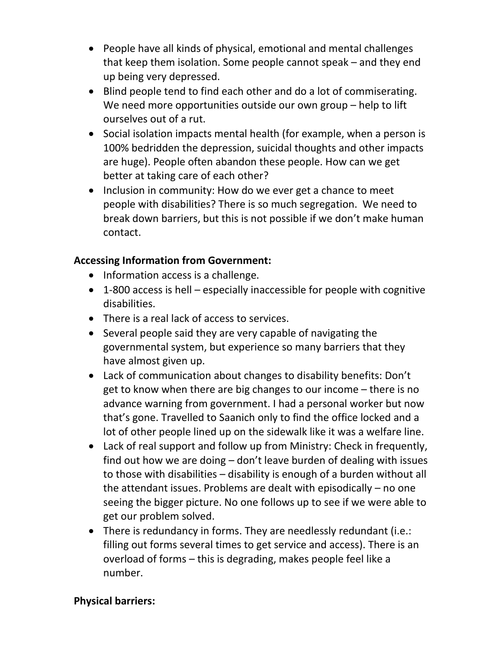- People have all kinds of physical, emotional and mental challenges that keep them isolation. Some people cannot speak – and they end up being very depressed.
- Blind people tend to find each other and do a lot of commiserating. We need more opportunities outside our own group – help to lift ourselves out of a rut.
- Social isolation impacts mental health (for example, when a person is 100% bedridden the depression, suicidal thoughts and other impacts are huge). People often abandon these people. How can we get better at taking care of each other?
- Inclusion in community: How do we ever get a chance to meet people with disabilities? There is so much segregation. We need to break down barriers, but this is not possible if we don't make human contact.

### **Accessing Information from Government:**

- Information access is a challenge.
- 1-800 access is hell especially inaccessible for people with cognitive disabilities.
- There is a real lack of access to services.
- Several people said they are very capable of navigating the governmental system, but experience so many barriers that they have almost given up.
- Lack of communication about changes to disability benefits: Don't get to know when there are big changes to our income – there is no advance warning from government. I had a personal worker but now that's gone. Travelled to Saanich only to find the office locked and a lot of other people lined up on the sidewalk like it was a welfare line.
- Lack of real support and follow up from Ministry: Check in frequently, find out how we are doing – don't leave burden of dealing with issues to those with disabilities – disability is enough of a burden without all the attendant issues. Problems are dealt with episodically – no one seeing the bigger picture. No one follows up to see if we were able to get our problem solved.
- There is redundancy in forms. They are needlessly redundant (i.e.: filling out forms several times to get service and access). There is an overload of forms – this is degrading, makes people feel like a number.

#### **Physical barriers:**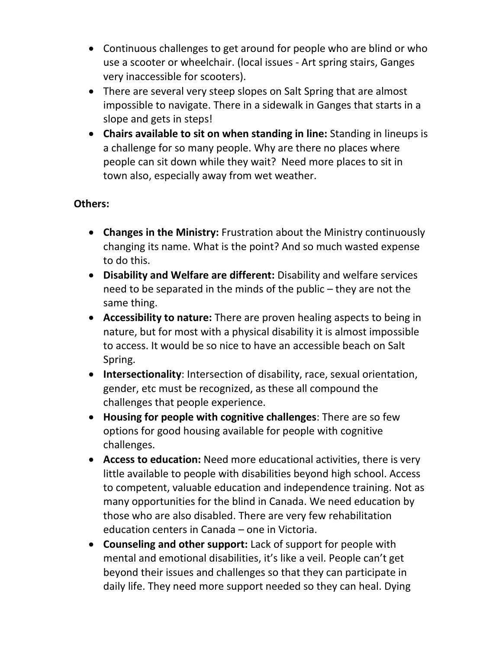- Continuous challenges to get around for people who are blind or who use a scooter or wheelchair. (local issues - Art spring stairs, Ganges very inaccessible for scooters).
- There are several very steep slopes on Salt Spring that are almost impossible to navigate. There in a sidewalk in Ganges that starts in a slope and gets in steps!
- **Chairs available to sit on when standing in line:** Standing in lineups is a challenge for so many people. Why are there no places where people can sit down while they wait? Need more places to sit in town also, especially away from wet weather.

### **Others:**

- **Changes in the Ministry:** Frustration about the Ministry continuously changing its name. What is the point? And so much wasted expense to do this.
- **Disability and Welfare are different:** Disability and welfare services need to be separated in the minds of the public – they are not the same thing.
- **Accessibility to nature:** There are proven healing aspects to being in nature, but for most with a physical disability it is almost impossible to access. It would be so nice to have an accessible beach on Salt Spring.
- **Intersectionality**: Intersection of disability, race, sexual orientation, gender, etc must be recognized, as these all compound the challenges that people experience.
- **Housing for people with cognitive challenges**: There are so few options for good housing available for people with cognitive challenges.
- **Access to education:** Need more educational activities, there is very little available to people with disabilities beyond high school. Access to competent, valuable education and independence training. Not as many opportunities for the blind in Canada. We need education by those who are also disabled. There are very few rehabilitation education centers in Canada – one in Victoria.
- **Counseling and other support:** Lack of support for people with mental and emotional disabilities, it's like a veil. People can't get beyond their issues and challenges so that they can participate in daily life. They need more support needed so they can heal. Dying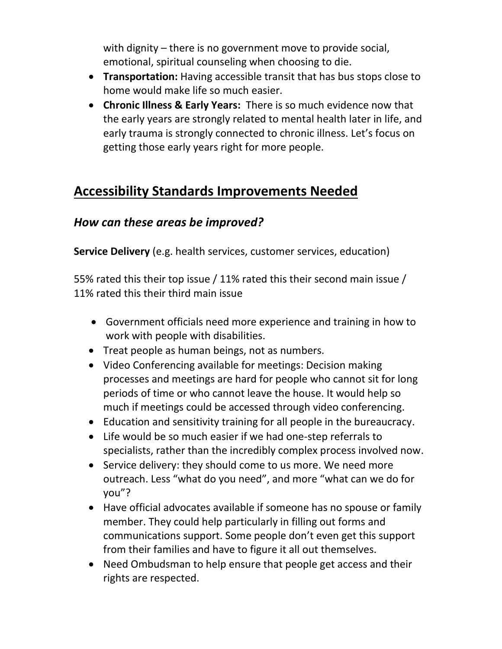with dignity – there is no government move to provide social, emotional, spiritual counseling when choosing to die.

- **Transportation:** Having accessible transit that has bus stops close to home would make life so much easier.
- **Chronic Illness & Early Years:** There is so much evidence now that the early years are strongly related to mental health later in life, and early trauma is strongly connected to chronic illness. Let's focus on getting those early years right for more people.

## **Accessibility Standards Improvements Needed**

### *How can these areas be improved?*

**Service Delivery** (e.g. health services, customer services, education)

55% rated this their top issue / 11% rated this their second main issue / 11% rated this their third main issue

- Government officials need more experience and training in how to work with people with disabilities.
- Treat people as human beings, not as numbers.
- Video Conferencing available for meetings: Decision making processes and meetings are hard for people who cannot sit for long periods of time or who cannot leave the house. It would help so much if meetings could be accessed through video conferencing.
- Education and sensitivity training for all people in the bureaucracy.
- Life would be so much easier if we had one-step referrals to specialists, rather than the incredibly complex process involved now.
- Service delivery: they should come to us more. We need more outreach. Less "what do you need", and more "what can we do for you"?
- Have official advocates available if someone has no spouse or family member. They could help particularly in filling out forms and communications support. Some people don't even get this support from their families and have to figure it all out themselves.
- Need Ombudsman to help ensure that people get access and their rights are respected.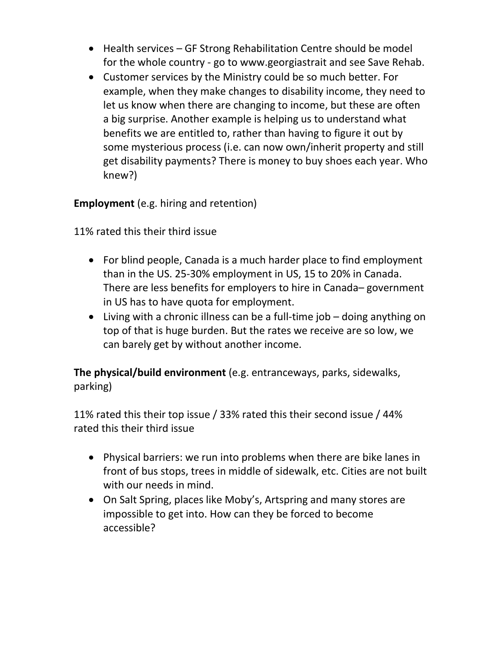- Health services GF Strong Rehabilitation Centre should be model for the whole country - go to www.georgiastrait and see Save Rehab.
- Customer services by the Ministry could be so much better. For example, when they make changes to disability income, they need to let us know when there are changing to income, but these are often a big surprise. Another example is helping us to understand what benefits we are entitled to, rather than having to figure it out by some mysterious process (i.e. can now own/inherit property and still get disability payments? There is money to buy shoes each year. Who knew?)

**Employment** (e.g. hiring and retention)

11% rated this their third issue

- For blind people, Canada is a much harder place to find employment than in the US. 25-30% employment in US, 15 to 20% in Canada. There are less benefits for employers to hire in Canada– government in US has to have quota for employment.
- Living with a chronic illness can be a full-time job doing anything on top of that is huge burden. But the rates we receive are so low, we can barely get by without another income.

**The physical/build environment** (e.g. entranceways, parks, sidewalks, parking)

11% rated this their top issue / 33% rated this their second issue / 44% rated this their third issue

- Physical barriers: we run into problems when there are bike lanes in front of bus stops, trees in middle of sidewalk, etc. Cities are not built with our needs in mind.
- On Salt Spring, places like Moby's, Artspring and many stores are impossible to get into. How can they be forced to become accessible?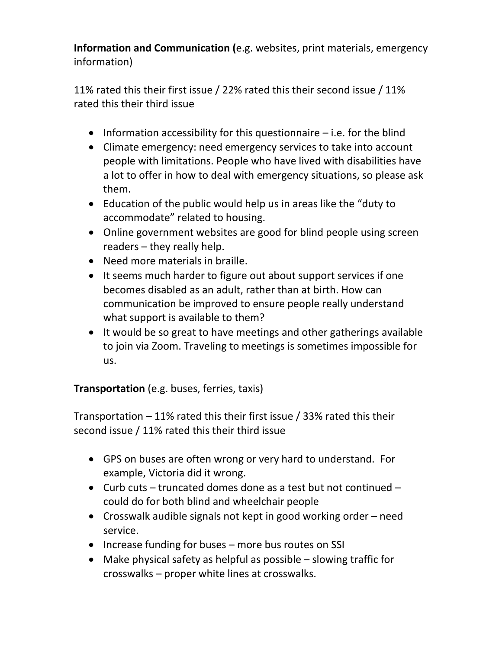**Information and Communication (**e.g. websites, print materials, emergency information)

11% rated this their first issue / 22% rated this their second issue / 11% rated this their third issue

- Information accessibility for this questionnaire  $-$  i.e. for the blind
- Climate emergency: need emergency services to take into account people with limitations. People who have lived with disabilities have a lot to offer in how to deal with emergency situations, so please ask them.
- Education of the public would help us in areas like the "duty to accommodate" related to housing.
- Online government websites are good for blind people using screen readers – they really help.
- Need more materials in braille.
- It seems much harder to figure out about support services if one becomes disabled as an adult, rather than at birth. How can communication be improved to ensure people really understand what support is available to them?
- It would be so great to have meetings and other gatherings available to join via Zoom. Traveling to meetings is sometimes impossible for us.

**Transportation** (e.g. buses, ferries, taxis)

Transportation – 11% rated this their first issue / 33% rated this their second issue / 11% rated this their third issue

- GPS on buses are often wrong or very hard to understand. For example, Victoria did it wrong.
- Curb cuts truncated domes done as a test but not continued could do for both blind and wheelchair people
- Crosswalk audible signals not kept in good working order need service.
- Increase funding for buses more bus routes on SSI
- Make physical safety as helpful as possible slowing traffic for crosswalks – proper white lines at crosswalks.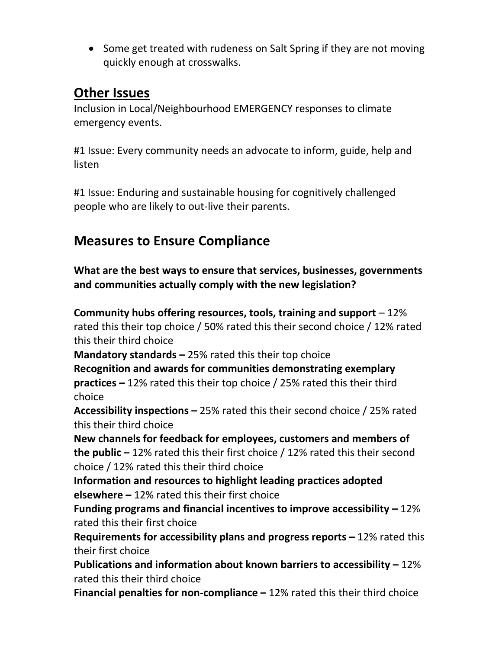• Some get treated with rudeness on Salt Spring if they are not moving quickly enough at crosswalks.

## **Other Issues**

Inclusion in Local/Neighbourhood EMERGENCY responses to climate emergency events.

#1 Issue: Every community needs an advocate to inform, guide, help and listen

#1 Issue: Enduring and sustainable housing for cognitively challenged people who are likely to out-live their parents.

# **Measures to Ensure Compliance**

**What are the best ways to ensure that services, businesses, governments and communities actually comply with the new legislation?**

**Community hubs offering resources, tools, training and support** – 12% rated this their top choice / 50% rated this their second choice / 12% rated this their third choice

**Mandatory standards –** 25% rated this their top choice

**Recognition and awards for communities demonstrating exemplary practices –** 12% rated this their top choice / 25% rated this their third choice

**Accessibility inspections –** 25% rated this their second choice / 25% rated this their third choice

**New channels for feedback for employees, customers and members of the public –** 12% rated this their first choice / 12% rated this their second choice / 12% rated this their third choice

**Information and resources to highlight leading practices adopted elsewhere –** 12% rated this their first choice

**Funding programs and financial incentives to improve accessibility –** 12% rated this their first choice

**Requirements for accessibility plans and progress reports –** 12% rated this their first choice

**Publications and information about known barriers to accessibility –** 12% rated this their third choice

**Financial penalties for non-compliance –** 12% rated this their third choice